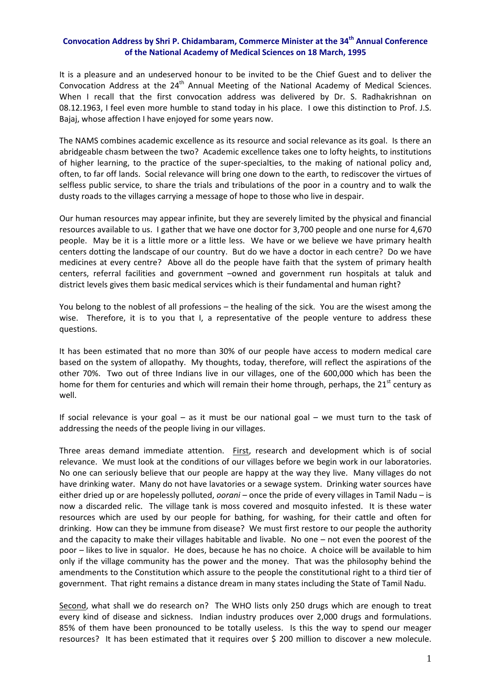## **Convocation Address by Shri P. Chidambaram, Commerce Minister at the 34th Annual Conference of the National Academy of Medical Sciences on 18 March, 1995**

It is a pleasure and an undeserved honour to be invited to be the Chief Guest and to deliver the Convocation Address at the 24<sup>th</sup> Annual Meeting of the National Academy of Medical Sciences. When I recall that the first convocation address was delivered by Dr. S. Radhakrishnan on 08.12.1963, I feel even more humble to stand today in his place. I owe this distinction to Prof. J.S. Bajaj, whose affection I have enjoyed for some years now.

The NAMS combines academic excellence as its resource and social relevance as its goal. Is there an abridgeable chasm between the two? Academic excellence takes one to lofty heights, to institutions of higher learning, to the practice of the super‐specialties, to the making of national policy and, often, to far off lands. Social relevance will bring one down to the earth, to rediscover the virtues of selfless public service, to share the trials and tribulations of the poor in a country and to walk the dusty roads to the villages carrying a message of hope to those who live in despair.

Our human resources may appear infinite, but they are severely limited by the physical and financial resources available to us. I gather that we have one doctor for 3,700 people and one nurse for 4,670 people. May be it is a little more or a little less. We have or we believe we have primary health centers dotting the landscape of our country. But do we have a doctor in each centre? Do we have medicines at every centre? Above all do the people have faith that the system of primary health centers, referral facilities and government –owned and government run hospitals at taluk and district levels gives them basic medical services which is their fundamental and human right?

You belong to the noblest of all professions – the healing of the sick. You are the wisest among the wise. Therefore, it is to you that I, a representative of the people venture to address these questions.

It has been estimated that no more than 30% of our people have access to modern medical care based on the system of allopathy. My thoughts, today, therefore, will reflect the aspirations of the other 70%. Two out of three Indians live in our villages, one of the 600,000 which has been the home for them for centuries and which will remain their home through, perhaps, the  $21<sup>st</sup>$  century as well.

If social relevance is your goal – as it must be our national goal – we must turn to the task of addressing the needs of the people living in our villages.

Three areas demand immediate attention. First, research and development which is of social relevance. We must look at the conditions of our villages before we begin work in our laboratories. No one can seriously believe that our people are happy at the way they live. Many villages do not have drinking water. Many do not have lavatories or a sewage system. Drinking water sources have either dried up or are hopelessly polluted, *oorani* – once the pride of every villages in Tamil Nadu – is now a discarded relic. The village tank is moss covered and mosquito infested. It is these water resources which are used by our people for bathing, for washing, for their cattle and often for drinking. How can they be immune from disease? We must first restore to our people the authority and the capacity to make their villages habitable and livable. No one – not even the poorest of the poor – likes to live in squalor. He does, because he has no choice. A choice will be available to him only if the village community has the power and the money. That was the philosophy behind the amendments to the Constitution which assure to the people the constitutional right to a third tier of government. That right remains a distance dream in many states including the State of Tamil Nadu.

Second, what shall we do research on? The WHO lists only 250 drugs which are enough to treat every kind of disease and sickness. Indian industry produces over 2,000 drugs and formulations. 85% of them have been pronounced to be totally useless. Is this the way to spend our meager resources? It has been estimated that it requires over \$ 200 million to discover a new molecule.